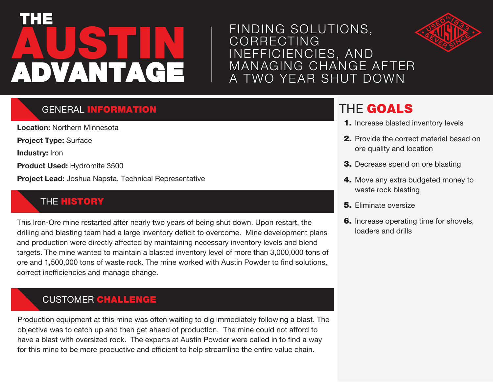# **AUSTIN** THE ADVANTAGE

### FINDING SOLUTIONS, CORRECTING INEFFICIENCIES, AND MANAGING CHANGE AFTER A TWO YEAR SHUT DOWN



#### **GENERAL INFORMATION**

**Location:** Northern Minnesota

**Project Type:** Surface

**Industry:** Iron

**Product Used:** Hydromite 3500

**Project Lead:** Joshua Napsta, Technical Representative

#### **THE HISTORY**

This Iron-Ore mine restarted after nearly two years of being shut down. Upon restart, the drilling and blasting team had a large inventory deficit to overcome. Mine development plans and production were directly affected by maintaining necessary inventory levels and blend targets. The mine wanted to maintain a blasted inventory level of more than 3,000,000 tons of ore and 1,500,000 tons of waste rock. The mine worked with Austin Powder to find solutions, correct inefficiencies and manage change.

#### CUSTOMER CHALLENGE

Production equipment at this mine was often waiting to dig immediately following a blast. The objective was to catch up and then get ahead of production. The mine could not afford to have a blast with oversized rock. The experts at Austin Powder were called in to find a way for this mine to be more productive and efficient to help streamline the entire value chain.

# THE GOALS

- 1. Increase blasted inventory levels
- 2. Provide the correct material based on ore quality and location
- 3. Decrease spend on ore blasting
- 4. Move any extra budgeted money to waste rock blasting
- **5.** Eliminate oversize
- 6. Increase operating time for shovels, loaders and drills